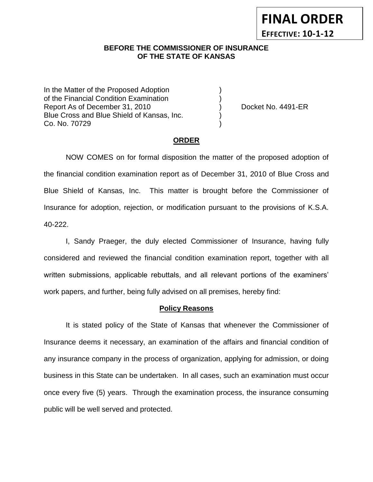#### **BEFORE THE COMMISSIONER OF INSURANCE OF THE STATE OF KANSAS**

In the Matter of the Proposed Adoption of the Financial Condition Examination ) Report As of December 31, 2010 (and Separate Asset No. 4491-ER Blue Cross and Blue Shield of Kansas, Inc. ) Co. No. 70729 )

### **ORDER**

NOW COMES on for formal disposition the matter of the proposed adoption of the financial condition examination report as of December 31, 2010 of Blue Cross and Blue Shield of Kansas, Inc. This matter is brought before the Commissioner of Insurance for adoption, rejection, or modification pursuant to the provisions of K.S.A. 40-222.

I, Sandy Praeger, the duly elected Commissioner of Insurance, having fully considered and reviewed the financial condition examination report, together with all written submissions, applicable rebuttals, and all relevant portions of the examiners' work papers, and further, being fully advised on all premises, hereby find:

### **Policy Reasons**

It is stated policy of the State of Kansas that whenever the Commissioner of Insurance deems it necessary, an examination of the affairs and financial condition of any insurance company in the process of organization, applying for admission, or doing business in this State can be undertaken. In all cases, such an examination must occur once every five (5) years. Through the examination process, the insurance consuming public will be well served and protected.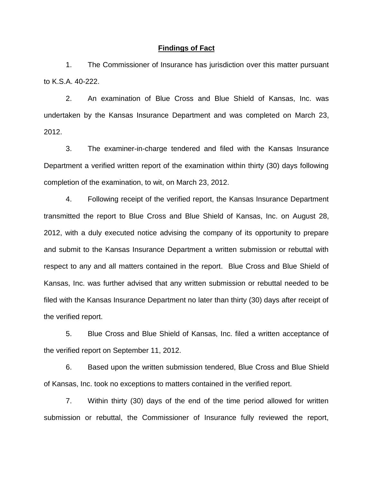#### **Findings of Fact**

1. The Commissioner of Insurance has jurisdiction over this matter pursuant to K.S.A. 40-222.

2. An examination of Blue Cross and Blue Shield of Kansas, Inc. was undertaken by the Kansas Insurance Department and was completed on March 23, 2012.

3. The examiner-in-charge tendered and filed with the Kansas Insurance Department a verified written report of the examination within thirty (30) days following completion of the examination, to wit, on March 23, 2012.

4. Following receipt of the verified report, the Kansas Insurance Department transmitted the report to Blue Cross and Blue Shield of Kansas, Inc. on August 28, 2012, with a duly executed notice advising the company of its opportunity to prepare and submit to the Kansas Insurance Department a written submission or rebuttal with respect to any and all matters contained in the report. Blue Cross and Blue Shield of Kansas, Inc. was further advised that any written submission or rebuttal needed to be filed with the Kansas Insurance Department no later than thirty (30) days after receipt of the verified report.

5. Blue Cross and Blue Shield of Kansas, Inc. filed a written acceptance of the verified report on September 11, 2012.

6. Based upon the written submission tendered, Blue Cross and Blue Shield of Kansas, Inc. took no exceptions to matters contained in the verified report.

7. Within thirty (30) days of the end of the time period allowed for written submission or rebuttal, the Commissioner of Insurance fully reviewed the report,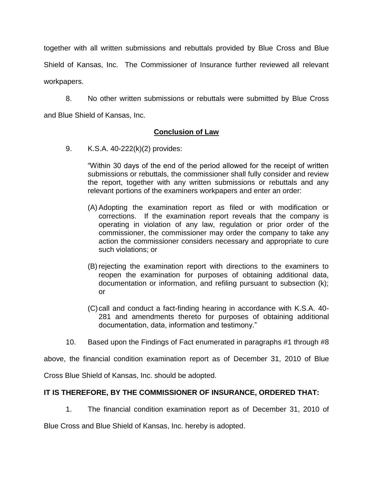together with all written submissions and rebuttals provided by Blue Cross and Blue Shield of Kansas, Inc. The Commissioner of Insurance further reviewed all relevant workpapers.

8. No other written submissions or rebuttals were submitted by Blue Cross and Blue Shield of Kansas, Inc.

## **Conclusion of Law**

9. K.S.A. 40-222(k)(2) provides:

"Within 30 days of the end of the period allowed for the receipt of written submissions or rebuttals, the commissioner shall fully consider and review the report, together with any written submissions or rebuttals and any relevant portions of the examiners workpapers and enter an order:

- (A) Adopting the examination report as filed or with modification or corrections. If the examination report reveals that the company is operating in violation of any law, regulation or prior order of the commissioner, the commissioner may order the company to take any action the commissioner considers necessary and appropriate to cure such violations; or
- (B) rejecting the examination report with directions to the examiners to reopen the examination for purposes of obtaining additional data, documentation or information, and refiling pursuant to subsection (k); or
- (C)call and conduct a fact-finding hearing in accordance with K.S.A. 40- 281 and amendments thereto for purposes of obtaining additional documentation, data, information and testimony."
- 10. Based upon the Findings of Fact enumerated in paragraphs #1 through #8

above, the financial condition examination report as of December 31, 2010 of Blue

Cross Blue Shield of Kansas, Inc. should be adopted.

## **IT IS THEREFORE, BY THE COMMISSIONER OF INSURANCE, ORDERED THAT:**

1. The financial condition examination report as of December 31, 2010 of

Blue Cross and Blue Shield of Kansas, Inc. hereby is adopted.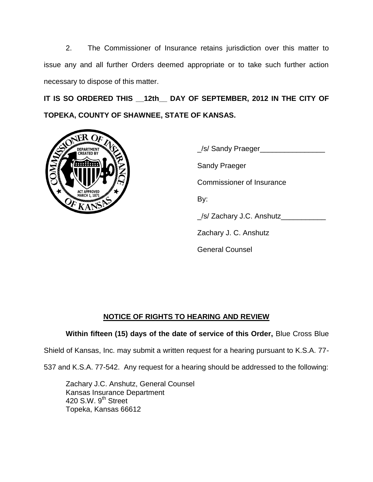2. The Commissioner of Insurance retains jurisdiction over this matter to issue any and all further Orders deemed appropriate or to take such further action necessary to dispose of this matter.

**IT IS SO ORDERED THIS \_\_12th\_\_ DAY OF SEPTEMBER, 2012 IN THE CITY OF TOPEKA, COUNTY OF SHAWNEE, STATE OF KANSAS.**



\_/s/ Sandy Praeger\_\_\_\_\_\_\_\_\_\_\_\_\_\_\_\_ Sandy Praeger Commissioner of Insurance By:  $\angle$ /s/ Zachary J.C. Anshutz $\angle$ Zachary J. C. Anshutz General Counsel

# **NOTICE OF RIGHTS TO HEARING AND REVIEW**

## **Within fifteen (15) days of the date of service of this Order,** Blue Cross Blue

Shield of Kansas, Inc. may submit a written request for a hearing pursuant to K.S.A. 77-

537 and K.S.A. 77-542. Any request for a hearing should be addressed to the following:

Zachary J.C. Anshutz, General Counsel Kansas Insurance Department 420 S.W. 9<sup>th</sup> Street Topeka, Kansas 66612